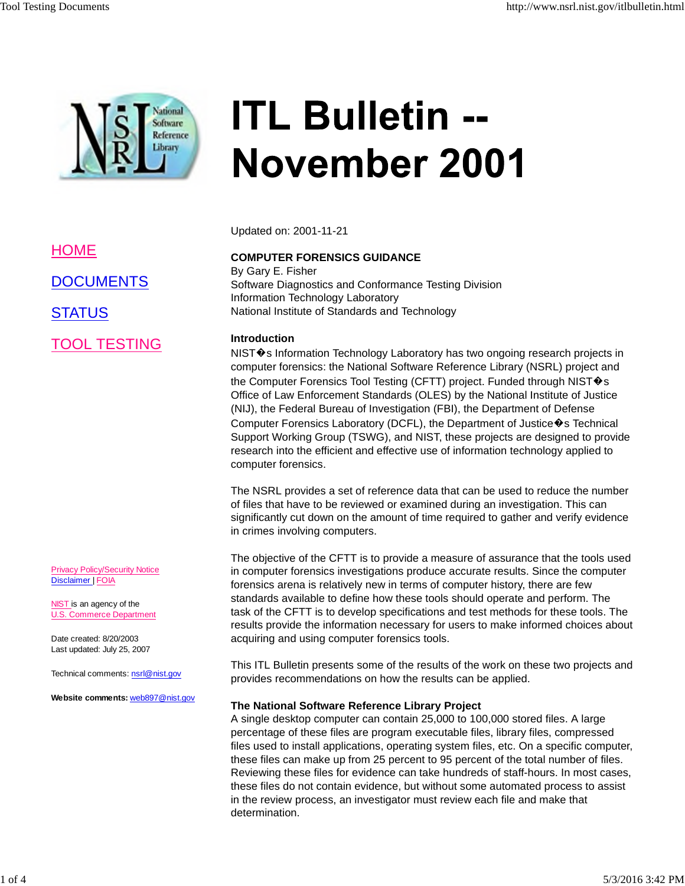

# **ITL Bulletin --November 2001**

Updated on: 2001-11-21

## **COMPUTER FORENSICS GUIDANCE** By Gary E. Fisher

Software Diagnostics and Conformance Testing Division Information Technology Laboratory National Institute of Standards and Technology

## **Introduction**

NIST�s Information Technology Laboratory has two ongoing research projects in computer forensics: the National Software Reference Library (NSRL) project and the Computer Forensics Tool Testing (CFTT) project. Funded through NIST $\bigcirc$ s Office of Law Enforcement Standards (OLES) by the National Institute of Justice (NIJ), the Federal Bureau of Investigation (FBI), the Department of Defense Computer Forensics Laboratory (DCFL), the Department of Justice  $\hat{\mathbf{v}}$ s Technical Support Working Group (TSWG), and NIST, these projects are designed to provide research into the efficient and effective use of information technology applied to computer forensics.

The NSRL provides a set of reference data that can be used to reduce the number of files that have to be reviewed or examined during an investigation. This can significantly cut down on the amount of time required to gather and verify evidence in crimes involving computers.

The objective of the CFTT is to provide a measure of assurance that the tools used in computer forensics investigations produce accurate results. Since the computer forensics arena is relatively new in terms of computer history, there are few standards available to define how these tools should operate and perform. The task of the CFTT is to develop specifications and test methods for these tools. The results provide the information necessary for users to make informed choices about acquiring and using computer forensics tools.

This ITL Bulletin presents some of the results of the work on these two projects and provides recommendations on how the results can be applied.

## **The National Software Reference Library Project**

A single desktop computer can contain 25,000 to 100,000 stored files. A large percentage of these files are program executable files, library files, compressed files used to install applications, operating system files, etc. On a specific computer, these files can make up from 25 percent to 95 percent of the total number of files. Reviewing these files for evidence can take hundreds of staff-hours. In most cases, these files do not contain evidence, but without some automated process to assist in the review process, an investigator must review each file and make that determination.

HOME

**DOCUMENTS** 

**STATUS** 

TOOL TESTING

Privacy Policy/Security Notice Disclaimer | FOIA

NIST is an agency of the U.S. Commerce Department

Date created: 8/20/2003 Last updated: July 25, 2007

Technical comments: nsrl@nist.gov

**Website comments:** web897@nist.gov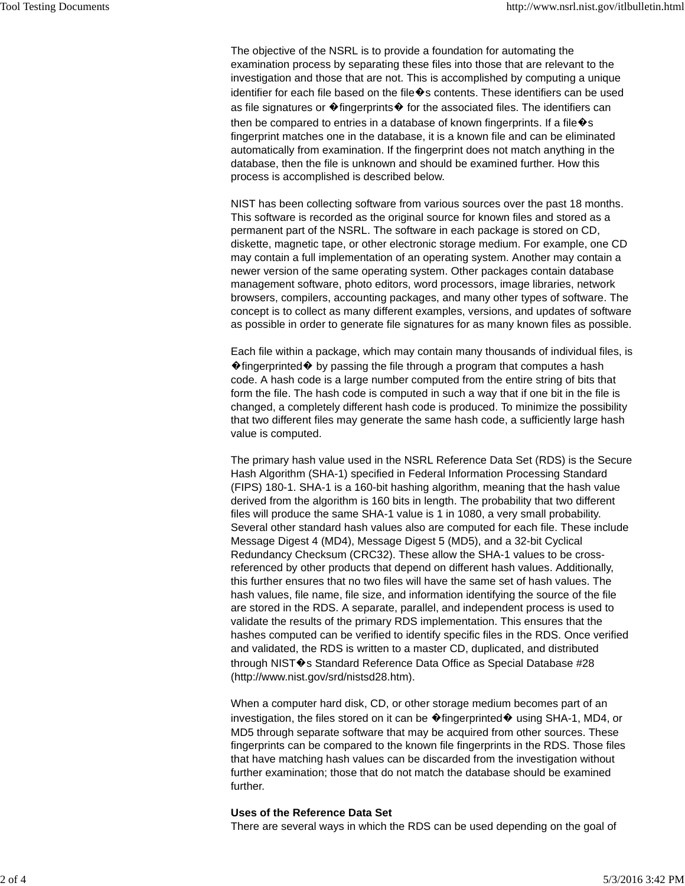The objective of the NSRL is to provide a foundation for automating the examination process by separating these files into those that are relevant to the investigation and those that are not. This is accomplished by computing a unique identifier for each file based on the file  $\hat{\mathbf{v}}$ s contents. These identifiers can be used as file signatures or  $\bigcirc$  fingerprints $\bigcirc$  for the associated files. The identifiers can then be compared to entries in a database of known fingerprints. If a file  $\hat{\mathbf{v}}$ s fingerprint matches one in the database, it is a known file and can be eliminated automatically from examination. If the fingerprint does not match anything in the database, then the file is unknown and should be examined further. How this process is accomplished is described below.

NIST has been collecting software from various sources over the past 18 months. This software is recorded as the original source for known files and stored as a permanent part of the NSRL. The software in each package is stored on CD, diskette, magnetic tape, or other electronic storage medium. For example, one CD may contain a full implementation of an operating system. Another may contain a newer version of the same operating system. Other packages contain database management software, photo editors, word processors, image libraries, network browsers, compilers, accounting packages, and many other types of software. The concept is to collect as many different examples, versions, and updates of software as possible in order to generate file signatures for as many known files as possible.

Each file within a package, which may contain many thousands of individual files, is  $\triangle$  fingerprinted  $\triangle$  by passing the file through a program that computes a hash code. A hash code is a large number computed from the entire string of bits that form the file. The hash code is computed in such a way that if one bit in the file is changed, a completely different hash code is produced. To minimize the possibility that two different files may generate the same hash code, a sufficiently large hash value is computed.

The primary hash value used in the NSRL Reference Data Set (RDS) is the Secure Hash Algorithm (SHA-1) specified in Federal Information Processing Standard (FIPS) 180-1. SHA-1 is a 160-bit hashing algorithm, meaning that the hash value derived from the algorithm is 160 bits in length. The probability that two different files will produce the same SHA-1 value is 1 in 1080, a very small probability. Several other standard hash values also are computed for each file. These include Message Digest 4 (MD4), Message Digest 5 (MD5), and a 32-bit Cyclical Redundancy Checksum (CRC32). These allow the SHA-1 values to be crossreferenced by other products that depend on different hash values. Additionally, this further ensures that no two files will have the same set of hash values. The hash values, file name, file size, and information identifying the source of the file are stored in the RDS. A separate, parallel, and independent process is used to validate the results of the primary RDS implementation. This ensures that the hashes computed can be verified to identify specific files in the RDS. Once verified and validated, the RDS is written to a master CD, duplicated, and distributed through NIST $\hat{\mathbf{\bullet}}$ s Standard Reference Data Office as Special Database #28 (http://www.nist.gov/srd/nistsd28.htm).

When a computer hard disk, CD, or other storage medium becomes part of an investigation, the files stored on it can be �fingerprinted� using SHA-1, MD4, or MD5 through separate software that may be acquired from other sources. These fingerprints can be compared to the known file fingerprints in the RDS. Those files that have matching hash values can be discarded from the investigation without further examination; those that do not match the database should be examined further.

#### **Uses of the Reference Data Set**

There are several ways in which the RDS can be used depending on the goal of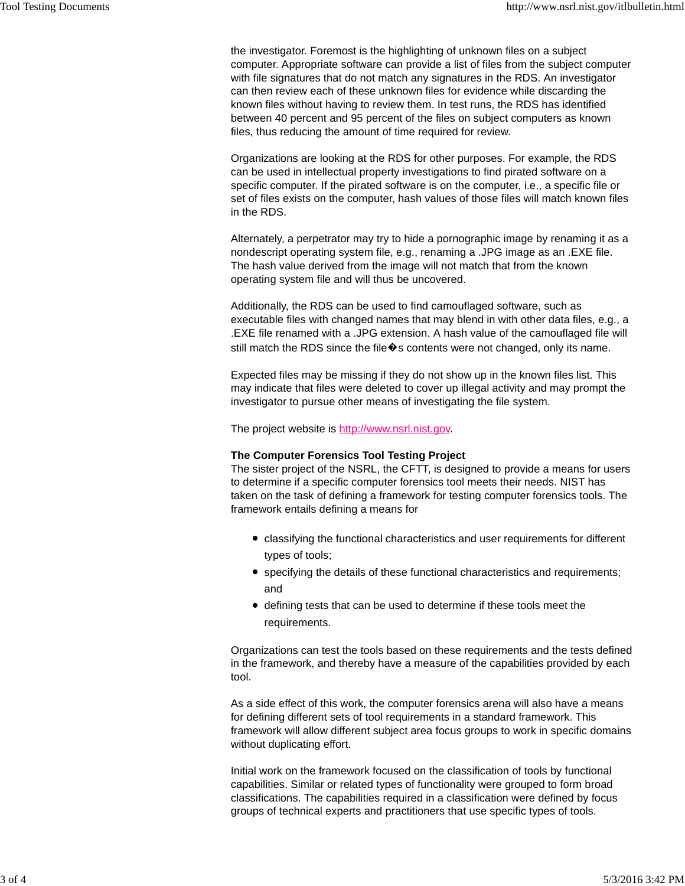the investigator. Foremost is the highlighting of unknown files on a subject computer. Appropriate software can provide a list of files from the subject computer with file signatures that do not match any signatures in the RDS. An investigator can then review each of these unknown files for evidence while discarding the known files without having to review them. In test runs, the RDS has identified between 40 percent and 95 percent of the files on subject computers as known files, thus reducing the amount of time required for review.

Organizations are looking at the RDS for other purposes. For example, the RDS can be used in intellectual property investigations to find pirated software on a specific computer. If the pirated software is on the computer, i.e., a specific file or set of files exists on the computer, hash values of those files will match known files in the RDS.

Alternately, a perpetrator may try to hide a pornographic image by renaming it as a nondescript operating system file, e.g., renaming a .JPG image as an .EXE file. The hash value derived from the image will not match that from the known operating system file and will thus be uncovered.

Additionally, the RDS can be used to find camouflaged software, such as executable files with changed names that may blend in with other data files, e.g., a .EXE file renamed with a .JPG extension. A hash value of the camouflaged file will still match the RDS since the file  $\hat{\mathbf{v}}$ s contents were not changed, only its name.

Expected files may be missing if they do not show up in the known files list. This may indicate that files were deleted to cover up illegal activity and may prompt the investigator to pursue other means of investigating the file system.

The project website is http://www.nsrl.nist.gov.

## **The Computer Forensics Tool Testing Project**

The sister project of the NSRL, the CFTT, is designed to provide a means for users to determine if a specific computer forensics tool meets their needs. NIST has taken on the task of defining a framework for testing computer forensics tools. The framework entails defining a means for

- classifying the functional characteristics and user requirements for different types of tools;
- specifying the details of these functional characteristics and requirements; and
- defining tests that can be used to determine if these tools meet the requirements.

Organizations can test the tools based on these requirements and the tests defined in the framework, and thereby have a measure of the capabilities provided by each tool.

As a side effect of this work, the computer forensics arena will also have a means for defining different sets of tool requirements in a standard framework. This framework will allow different subject area focus groups to work in specific domains without duplicating effort.

Initial work on the framework focused on the classification of tools by functional capabilities. Similar or related types of functionality were grouped to form broad classifications. The capabilities required in a classification were defined by focus groups of technical experts and practitioners that use specific types of tools.